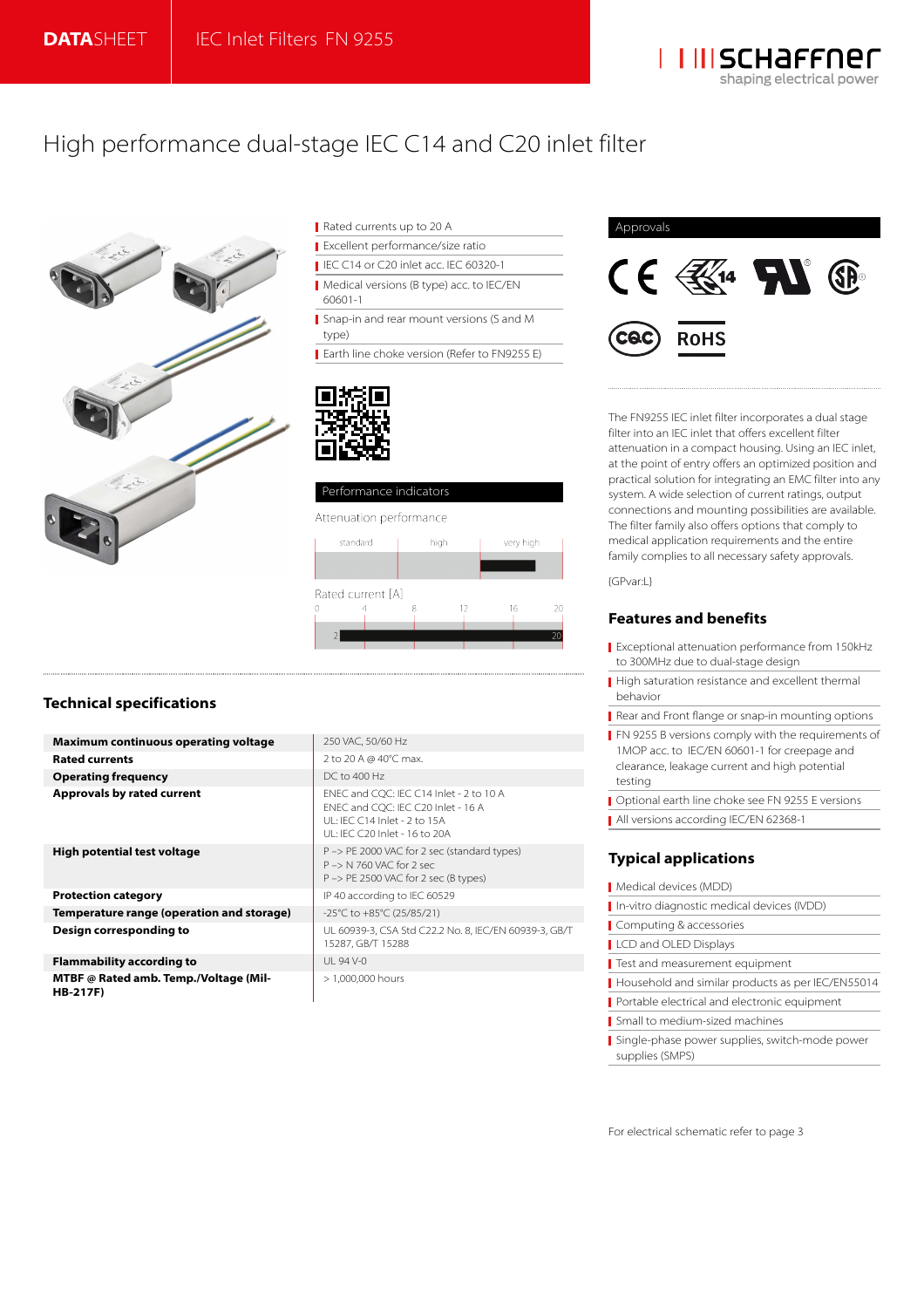

# High performance dual-stage IEC C14 and C20 inlet filter



Rated currents up to 20 A

- Excellent performance/size ratio
- IEC C14 or C20 inlet acc. IEC 60320-1 Medical versions (B type) acc. to IEC/EN
- 60601-1

Snap-in and rear mount versions (S and M type)

Earth line choke version (Refer to FN9255 E)





# **Technical specifications**

| <b>Maximum continuous operating voltage</b>              | 250 VAC, 50/60 Hz                                                                                                                              |
|----------------------------------------------------------|------------------------------------------------------------------------------------------------------------------------------------------------|
| <b>Rated currents</b>                                    | 2 to 20 A @ 40°C max.                                                                                                                          |
| <b>Operating frequency</b>                               | DC to 400 Hz                                                                                                                                   |
| Approvals by rated current                               | ENEC and CQC: IEC C14 Inlet - 2 to 10 A<br>ENEC and CQC: IEC C20 Inlet - 16 A<br>UL: IFC C14 Inlet - 2 to 15A<br>UL: IEC C20 Inlet - 16 to 20A |
| High potential test voltage                              | P -> PE 2000 VAC for 2 sec (standard types)<br>$P \rightarrow N$ 760 VAC for 2 sec<br>$P \rightarrow PE$ 2500 VAC for 2 sec (B types)          |
| <b>Protection category</b>                               | IP 40 according to IEC 60529                                                                                                                   |
| Temperature range (operation and storage)                | -25°C to +85°C (25/85/21)                                                                                                                      |
| Design corresponding to                                  | UL 60939-3, CSA Std C22.2 No. 8, IEC/EN 60939-3, GB/T<br>15287, GB/T 15288                                                                     |
| <b>Flammability according to</b>                         | $U194V-0$                                                                                                                                      |
| MTBF @ Rated amb. Temp./Voltage (Mil-<br><b>HB-217F)</b> | > 1,000,000 hours                                                                                                                              |



The FN9255 IEC inlet filter incorporates a dual stage filter into an IEC inlet that offers excellent filter attenuation in a compact housing. Using an IEC inlet, at the point of entry offers an optimized position and practical solution for integrating an EMC filter into any system. A wide selection of current ratings, output connections and mounting possibilities are available. The filter family also offers options that comply to medical application requirements and the entire family complies to all necessary safety approvals.

{GPvar:L}

## **Features and benefits**

- **Exceptional attenuation performance from 150kHz** to 300MHz due to dual-stage design
- **High saturation resistance and excellent thermal** behavior
- Rear and Front flange or snap-in mounting options
- FN 9255 B versions comply with the requirements of 1MOP acc. to IEC/EN 60601-1 for creepage and clearance, leakage current and high potential testing
- Optional earth line choke see FN 9255 E versions
- All versions according IEC/EN 62368-1

# **Typical applications**

- **I** Medical devices (MDD)
- In-vitro diagnostic medical devices (IVDD)
- Computing & accessories
- | LCD and OLED Displays
- Test and measurement equipment
- Household and similar products as per IEC/EN55014
- Portable electrical and electronic equipment
- **Small to medium-sized machines**
- Single-phase power supplies, switch-mode power supplies (SMPS)

For electrical schematic refer to page 3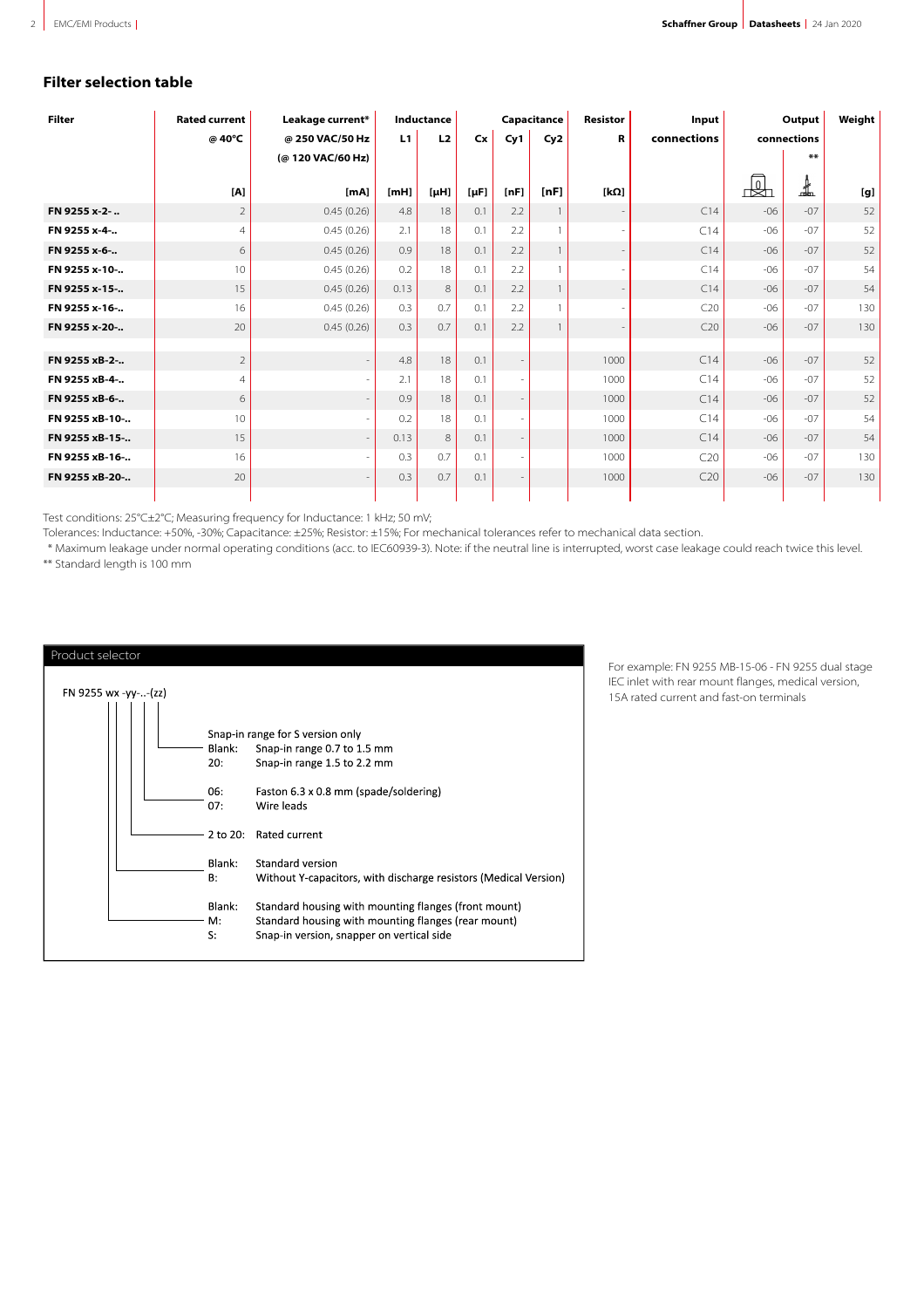# **Filter selection table**

| <b>Filter</b>  | <b>Rated current</b> | Leakage current* |           | Inductance     | Capacitance      |      | Resistor     | Input       | Output      |       | Weight |     |
|----------------|----------------------|------------------|-----------|----------------|------------------|------|--------------|-------------|-------------|-------|--------|-----|
|                | @ 40°C               | @ 250 VAC/50 Hz  | L1        | L <sub>2</sub> | Cx<br>Cy1<br>Cy2 |      | R            | connections | connections |       |        |     |
|                |                      | (@120 VAC/60 Hz) |           |                |                  |      |              |             |             |       | $***$  |     |
|                | [A]                  | [mA]             | $[m$ $H]$ | [µH]           | [ <b>µF</b> ]    | [nF] | [nF]         | $[k\Omega]$ |             | 山     | ┻      | [g] |
| FN 9255 x-2-   | 2                    | 0.45(0.26)       | 4.8       | 18             | 0.1              | 2.2  |              |             | C14         | $-06$ | $-07$  | 52  |
| FN 9255 x-4-   | 4                    | 0.45(0.26)       | 2.1       | 18             | 0.1              | 2.2  |              |             | C14         | $-06$ | $-07$  | 52  |
| FN 9255 x-6-   | 6                    | 0.45(0.26)       | 0.9       | 18             | 0.1              | 2.2  |              |             | C14         | $-06$ | $-07$  | 52  |
| FN 9255 x-10-  | 10                   | 0.45(0.26)       | 0.2       | 18             | 0.1              | 2.2  |              |             | C14         | $-06$ | $-07$  | 54  |
| FN 9255 x-15-  | 15                   | 0.45(0.26)       | 0.13      | 8              | 0.1              | 2.2  | $\mathbf{1}$ |             | C14         | $-06$ | $-07$  | 54  |
| FN 9255 x-16-  | 16                   | 0.45(0.26)       | 0.3       | 0.7            | 0.1              | 2.2  |              |             | C20         | $-06$ | $-07$  | 130 |
| FN 9255 x-20-  | 20                   | 0.45(0.26)       | 0.3       | 0.7            | 0.1              | 2.2  |              |             | C20         | $-06$ | $-07$  | 130 |
| FN 9255 xB-2-  | $\overline{2}$       |                  | 4.8       | 18             | 0.1              |      |              | 1000        | C14         | $-06$ | $-07$  | 52  |
|                |                      |                  |           | 18             |                  |      |              |             | C14         | $-06$ | $-07$  |     |
| FN 9255 xB-4-  | 4                    |                  | 2.1       |                | 0.1              |      |              | 1000        |             |       |        | 52  |
| FN 9255 xB-6-  | 6                    |                  | 0.9       | 18             | 0.1              |      |              | 1000        | C14         | $-06$ | $-07$  | 52  |
| FN 9255 xB-10- | 10                   |                  | 0.2       | 18             | 0.1              |      |              | 1000        | C14         | $-06$ | $-07$  | 54  |
| FN 9255 xB-15- | 15                   |                  | 0.13      | 8              | 0.1              |      |              | 1000        | C14         | $-06$ | $-07$  | 54  |
| FN 9255 xB-16- | 16                   |                  | 0.3       | 0.7            | 0.1              |      |              | 1000        | C20         | $-06$ | $-07$  | 130 |
| FN 9255 xB-20- | 20                   |                  | 0.3       | 0.7            | 0.1              |      |              | 1000        | C20         | $-06$ | $-07$  | 130 |
|                |                      |                  |           |                |                  |      |              |             |             |       |        |     |

Test conditions: 25°C±2°C; Measuring frequency for Inductance: 1 kHz; 50 mV;

Tolerances: Inductance: +50%, -30%; Capacitance: ±25%; Resistor: ±15%; For mechanical tolerances refer to mechanical data section.

\*\* Maximum leakage under normal operating conditions (acc. to IEC60939-3). Note: if the neutral line is interrupted, worst case leakage could reach twice this level.

\*\* Standard length is 100 mm

| FN 9255 wx -yy--(zz) | Blank:<br>20: | Snap-in range for S version only<br>Snap-in range 0.7 to 1.5 mm<br>Snap-in range 1.5 to 2.2 mm              |
|----------------------|---------------|-------------------------------------------------------------------------------------------------------------|
|                      | 06:<br>07:    | Faston 6.3 x 0.8 mm (spade/soldering)<br>Wire leads                                                         |
|                      | 2 to 20:      | Rated current                                                                                               |
|                      | Blank:        | Standard version                                                                                            |
|                      | $B$ :         | Without Y-capacitors, with discharge resistors (Medical Version)                                            |
|                      | Blank:<br>M:  | Standard housing with mounting flanges (front mount)<br>Standard housing with mounting flanges (rear mount) |
|                      | S:            | Snap-in version, snapper on vertical side                                                                   |

For example: FN 9255 MB-15-06 - FN 9255 dual stage IEC inlet with rear mount flanges, medical version, 15A rated current and fast-on terminals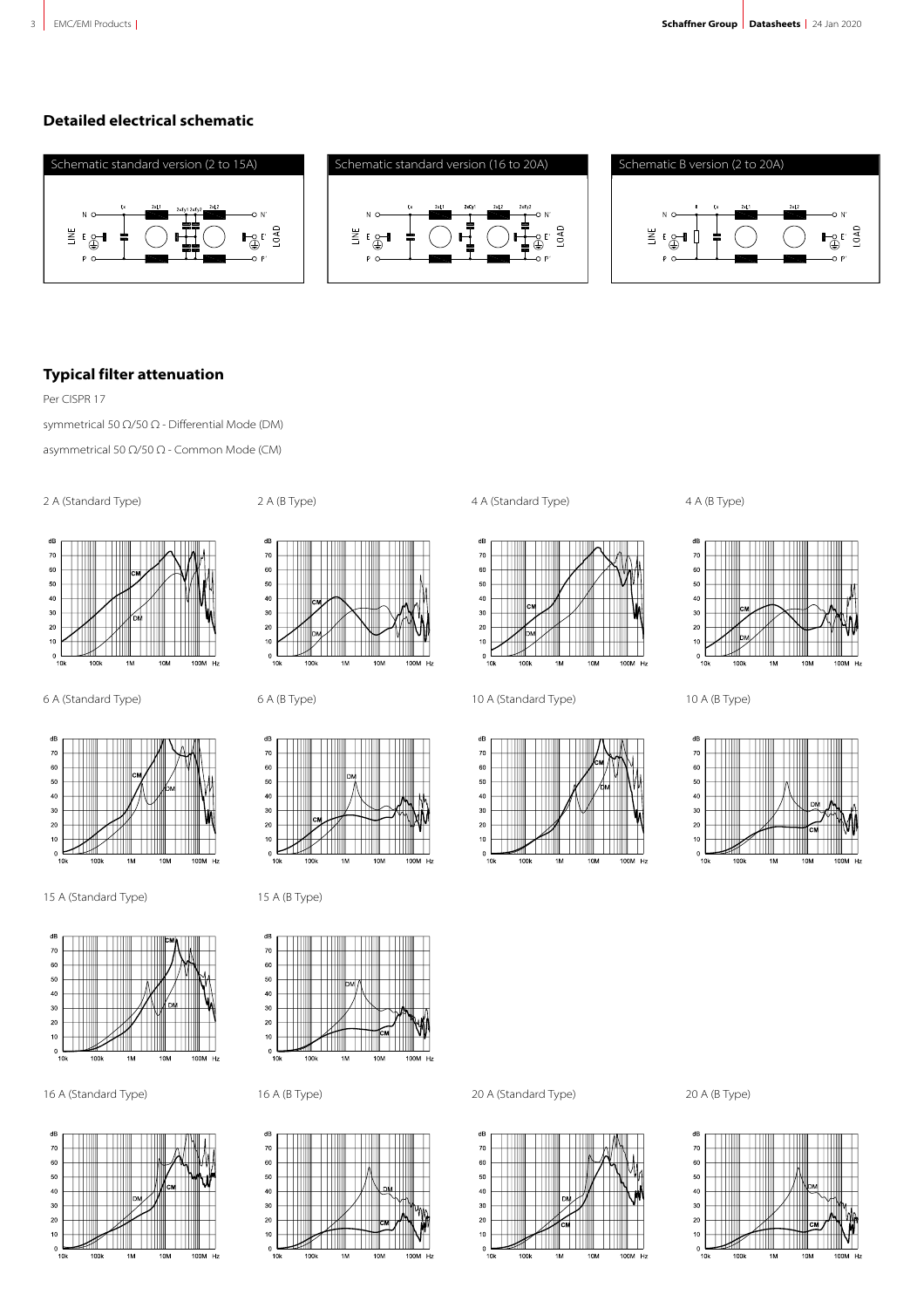# **Detailed electrical schematic**



# **Typical filter attenuation**

Per CISPR 17

symmetrical 50 Ω/50 Ω - Differential Mode (DM)

asymmetrical 50 Ω/50 Ω - Common Mode (CM)

2 A (Standard Type) 2 A (B Type) 2 A (B Type) 4 A (Standard Type) 4 A (Standard Type) 4 A (B Type)

dB

 $\begin{array}{c} 70 \\ 60 \end{array}$ 

50

 $^{40}$ 

 $30$ 

 $\overline{20}$ 

 $\overline{10}$ 

 $\overline{1}$ 





15 A (Standard Type) 15 A (B Type)























16 A (Standard Type) 16 A (B Type) 20 A (Standard Type) 20 A (B Type)





dB

6 A (Standard Type) 6 A (B Type) 10 A (Standard Type) 10 A (B Type)

dB  $70$  $60$  $\overline{50}$  $^{40}$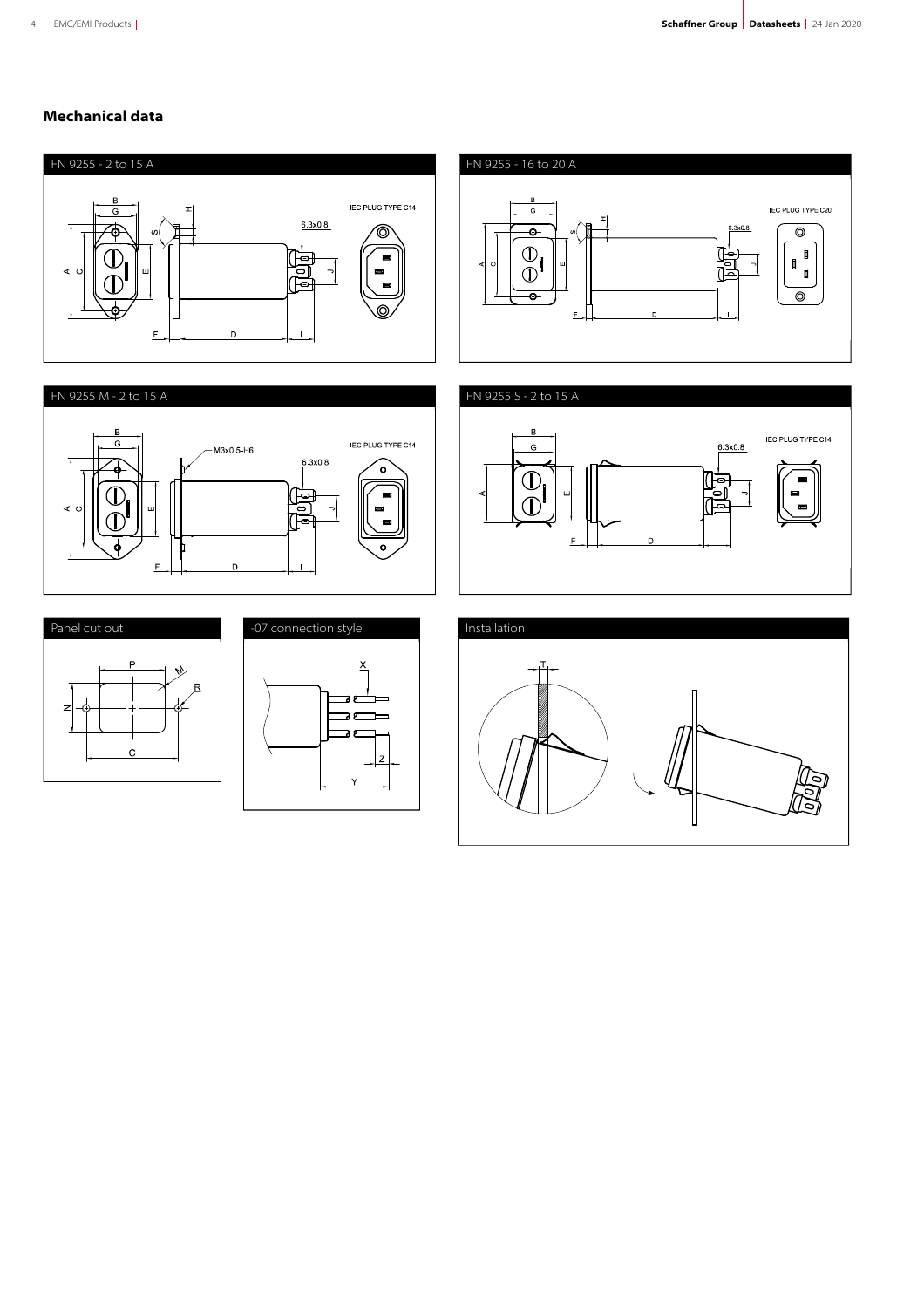# **Mechanical data**

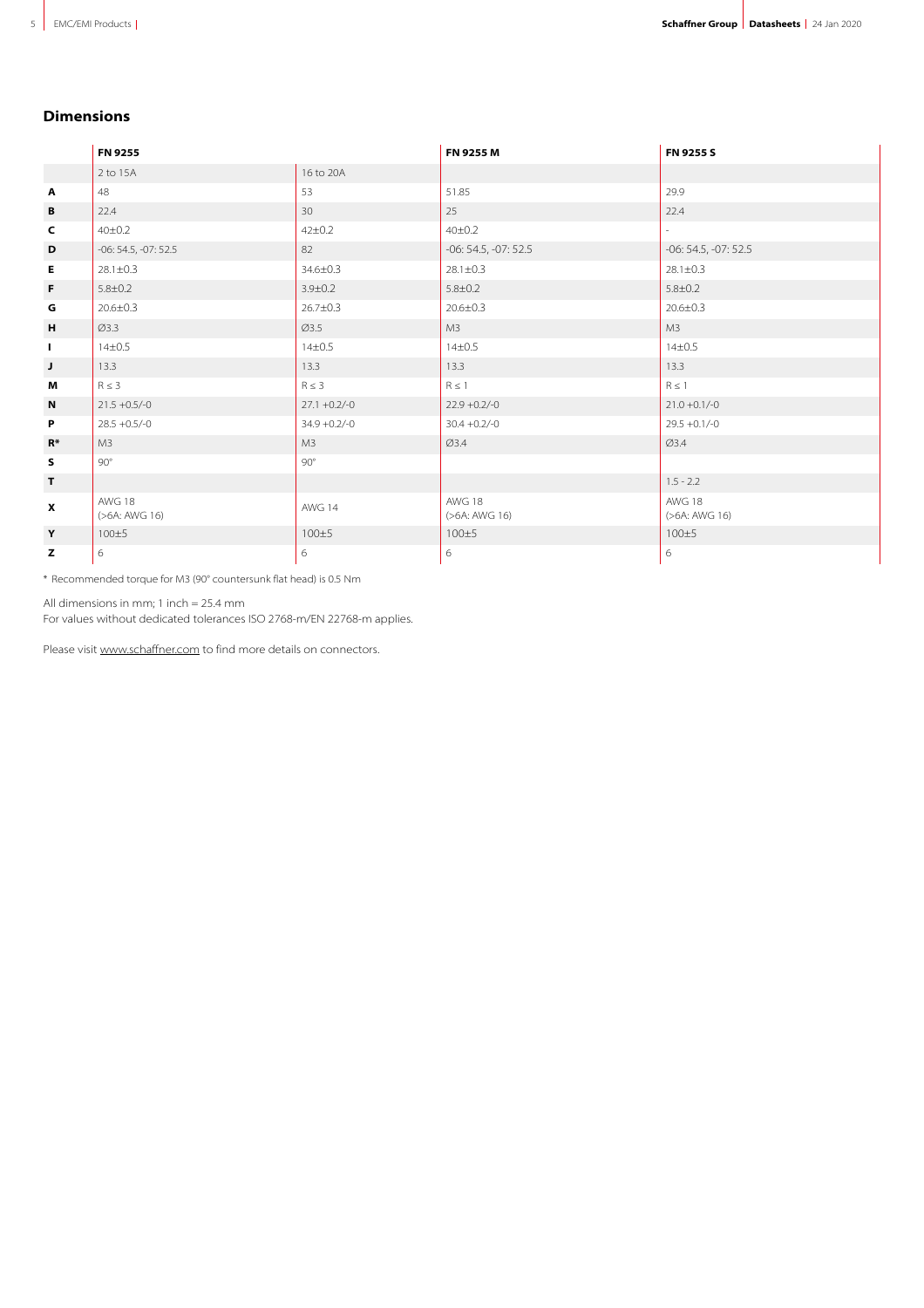# **Dimensions**

|              | FN 9255                 |                   | FN 9255 M               | FN 9255 S               |
|--------------|-------------------------|-------------------|-------------------------|-------------------------|
|              | 2 to 15A                | 16 to 20A         |                         |                         |
| A            | 48                      | 53                | 51.85                   | 29.9                    |
| $\mathbf B$  | 22.4                    | 30                | 25                      | 22.4                    |
| $\mathsf{C}$ | $40\pm0.2$              | $42 + 0.2$        | $40\pm0.2$              | $\sim$                  |
| D            | $-06: 54.5, -07: 52.5$  | 82                | $-06: 54.5, -07: 52.5$  | $-06: 54.5, -07: 52.5$  |
| E            | $28.1 \pm 0.3$          | 34.6±0.3          | $28.1 \pm 0.3$          | $28.1 \pm 0.3$          |
| F            | $5.8 + 0.2$             | $3.9 \pm 0.2$     | $5.8 \pm 0.2$           | $5.8 \pm 0.2$           |
| G            | $20.6 \pm 0.3$          | 26.7±0.3          | $20.6 \pm 0.3$          | $20.6 \pm 0.3$          |
| H            | $\varnothing$ 3.3       | $\varnothing$ 3.5 | M3                      | M3                      |
| $\mathbf{I}$ | $14 \pm 0.5$            | $14 \pm 0.5$      | $14 \pm 0.5$            | $14 \pm 0.5$            |
| $\mathbf{J}$ | 13.3                    | 13.3              | 13.3                    | 13.3                    |
| M            | $R \leq 3$              | $R \leq 3$        | $R \leq 1$              | $R \leq 1$              |
| $\mathbf N$  | $21.5 + 0.5/-0$         | $27.1 + 0.2/-0$   | $22.9 + 0.2/-0$         | $21.0 + 0.1/-0$         |
| P            | $28.5 + 0.5/-0$         | $34.9 + 0.2/-0$   | $30.4 + 0.2/-0$         | $29.5 + 0.1/-0$         |
| $R^*$        | M3                      | M3                | Ø3.4                    | $\varnothing$ 3.4       |
| S.           | $90^{\circ}$            | $90^{\circ}$      |                         |                         |
| T            |                         |                   |                         | $1.5 - 2.2$             |
| $\mathbf{x}$ | AWG 18<br>(>6A: AWG 16) | AWG 14            | AWG 18<br>(>6A: AWG 16) | AWG 18<br>(>6A: AWG 16) |
| Y            | $100\pm5$               | $100\pm5$         | $100\pm5$               | $100\pm5$               |
| z            | 6                       | 6                 | 6                       | 6                       |

\*\*Recommended torque for M3 (90° countersunk flat head) is 0.5 Nm

All dimensions in mm; 1 inch = 25.4 mm For values without dedicated tolerances ISO 2768-m/EN 22768-m applies.

Please visit [www.schaffner.com](https://www.schaffner.com) to find more details on connectors.